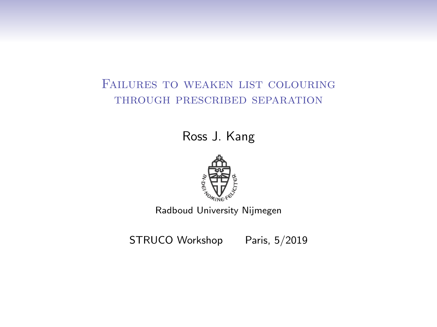#### Failures to weaken list colouring through prescribed separation

Ross J. Kang



Radboud University Nijmegen

STRUCO Workshop Paris, 5/2019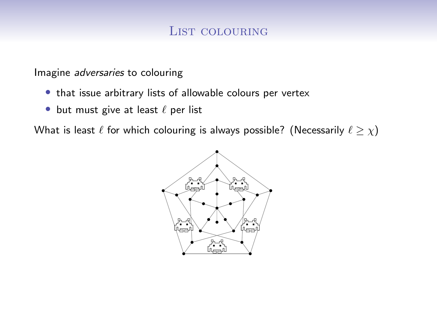#### List colouring

Imagine adversaries to colouring

- that issue arbitrary lists of allowable colours per vertex
- but must give at least  $\ell$  per list

What is least  $\ell$  for which colouring is always possible? (Necessarily  $\ell \ge \chi$ )

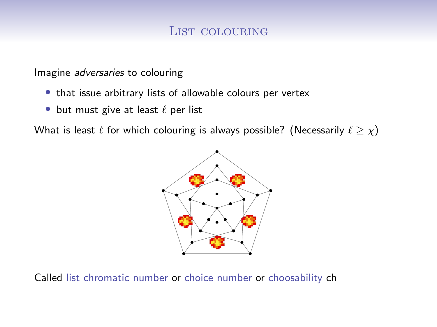#### List colouring

Imagine adversaries to colouring

- that issue arbitrary lists of allowable colours per vertex
- but must give at least  $\ell$  per list

What is least  $\ell$  for which colouring is always possible? (Necessarily  $\ell \ge \chi$ )



Called list chromatic number or choice number or choosability ch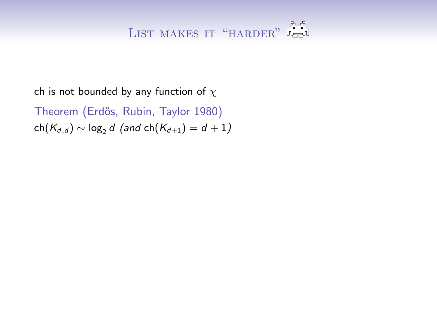ch is not bounded by any function of  $\chi$ 

Theorem (Erdős, Rubin, Taylor 1980)  $ch(K_{d,d}) \sim log_2 d$  (and  $ch(K_{d+1}) = d+1$ )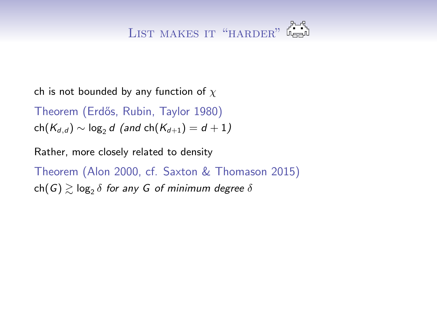### LIST MAKES IT "HARDER" LA

ch is not bounded by any function of  $\chi$ 

Theorem (Erdős, Rubin, Taylor 1980)  $ch(K_{d,d}) \sim log_2 d$  (and  $ch(K_{d+1}) = d+1$ )

Rather, more closely related to density

Theorem (Alon 2000, cf. Saxton & Thomason 2015)  $\mathsf{ch}(G) \gtrsim \log_2 \delta$  for any  $G$  of minimum degree  $\delta$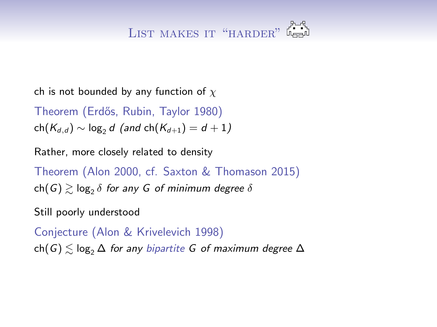### LIST MAKES IT "HARDER" LA

ch is not bounded by any function of  $\chi$ 

Theorem (Erdős, Rubin, Taylor 1980)  $ch(K_{d,d}) \sim log_2 d$  (and  $ch(K_{d+1}) = d+1$ )

Rather, more closely related to density

Theorem (Alon 2000, cf. Saxton & Thomason 2015)  $\mathsf{ch}(G) \gtrsim \log_2 \delta$  for any  $G$  of minimum degree  $\delta$ 

Still poorly understood

Conjecture (Alon & Krivelevich 1998) ch(G)  $\leq$  log<sub>2</sub>  $\Delta$  for any bipartite G of maximum degree  $\Delta$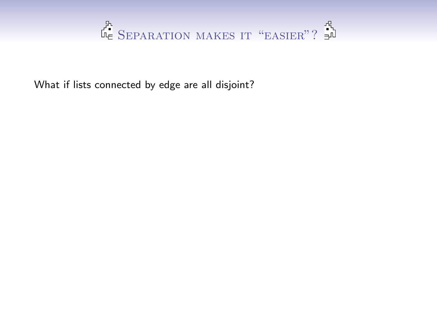

What if lists connected by edge are all disjoint?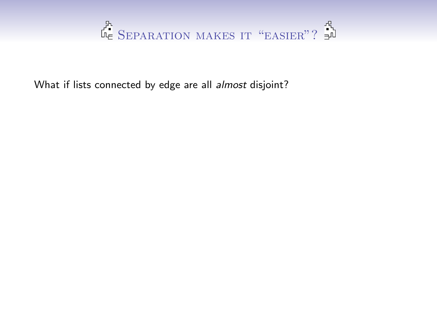

What if lists connected by edge are all almost disjoint?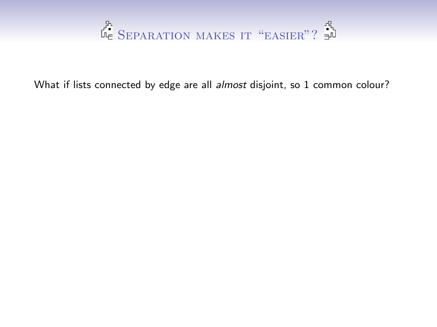

What if lists connected by edge are all almost disjoint, so 1 common colour?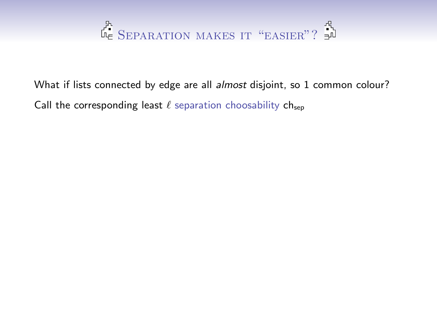# SEPARATION MAKES IT "EASIER"? 3

What if lists connected by edge are all almost disjoint, so 1 common colour? Call the corresponding least  $\ell$  separation choosability chsep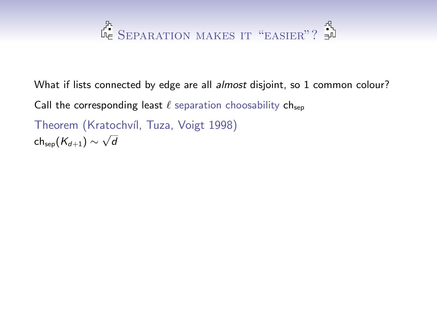## Separation makes it "easier"?

What if lists connected by edge are all almost disjoint, so 1 common colour? Call the corresponding least  $\ell$  separation choosability chsep Theorem (Kratochvíl, Tuza, Voigt 1998) ch<sub>sep</sub> $(K_{d+1}) \sim \sqrt{d}$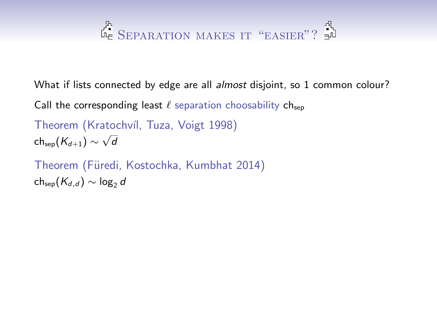## Separation makes it "easier"?

What if lists connected by edge are all *almost* disjoint, so 1 common colour?

Call the corresponding least  $\ell$  separation choosability chsep

Theorem (Kratochvíl, Tuza, Voigt 1998) ch<sub>sep</sub> $(K_{d+1}) \sim \sqrt{d}$ 

Theorem (Füredi, Kostochka, Kumbhat 2014)  $ch_{sep}(K_{d,d}) \sim log_2 d$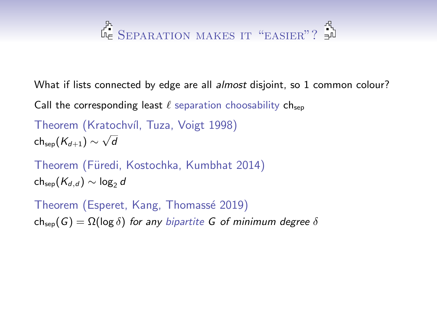## SEPARATION MAKES IT "EASIER"?

What if lists connected by edge are all *almost* disjoint, so 1 common colour?

Call the corresponding least  $\ell$  separation choosability chsep

Theorem (Kratochvíl, Tuza, Voigt 1998) ch<sub>sep</sub> $(K_{d+1}) \sim \sqrt{d}$ 

Theorem (Füredi, Kostochka, Kumbhat 2014)  $ch_{sep}(K_{d,d}) \sim log_2 d$ 

Theorem (Esperet, Kang, Thomassé 2019) ch<sub>sep</sub>(G) =  $\Omega(\log \delta)$  for any bipartite G of minimum degree  $\delta$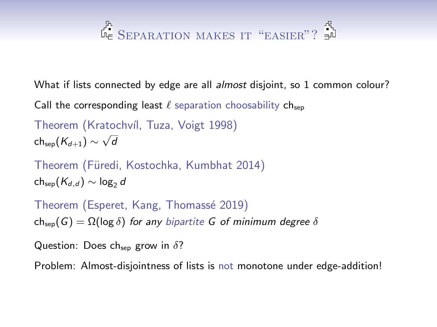## SEPARATION MAKES IT "EASIER"?

What if lists connected by edge are all *almost* disjoint, so 1 common colour?

Call the corresponding least  $\ell$  separation choosability ch<sub>sep</sub>

Theorem (Kratochvíl, Tuza, Voigt 1998) ch<sub>sep</sub> $(K_{d+1}) \sim \sqrt{d}$ 

Theorem (Füredi, Kostochka, Kumbhat 2014)  $ch_{\text{sen}}(K_{d,d}) \sim \log_2 d$ 

Theorem (Esperet, Kang, Thomassé 2019) ch<sub>sep</sub>(G) =  $\Omega(\log \delta)$  for any bipartite G of minimum degree  $\delta$ 

Question: Does ch<sub>sep</sub> grow in  $\delta$ ?

Problem: Almost-disjointness of lists is not monotone under edge-addition!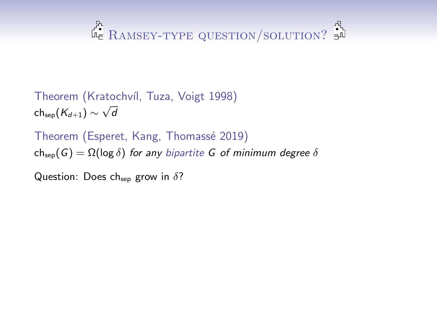### $\mathbb{R}$  Ramsey-type question/solution?  $\mathbb{R}^n$

Theorem (Kratochvíl, Tuza, Voigt 1998) ch<sub>sep</sub> $(K_{d+1}) \sim \sqrt{d}$ 

Theorem (Esperet, Kang, Thomassé 2019) ch<sub>sep</sub>(G) =  $\Omega(\log \delta)$  for any bipartite G of minimum degree  $\delta$ 

Question: Does ch<sub>sep</sub> grow in  $\delta$ ?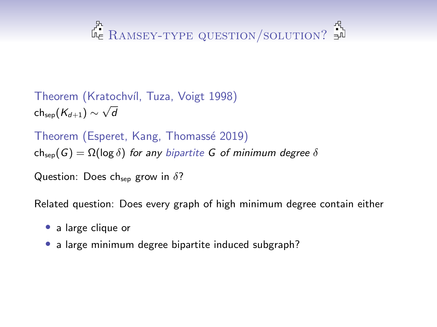## $\mathbb{R}$  Ramsey-type question/solution?  $\mathbb{R}^n$

Theorem (Kratochvíl, Tuza, Voigt 1998) ch<sub>sep</sub> $(K_{d+1}) \sim \sqrt{d}$ 

Theorem (Esperet, Kang, Thomassé 2019) ch<sub>sep</sub>(G) =  $\Omega(\log \delta)$  for any bipartite G of minimum degree  $\delta$ 

Question: Does ch<sub>sep</sub> grow in  $\delta$ ?

Related question: Does every graph of high minimum degree contain either

- a large clique or
- a large minimum degree bipartite induced subgraph?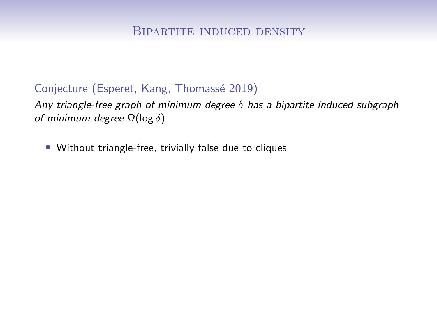Any triangle-free graph of minimum degree  $\delta$  has a bipartite induced subgraph of minimum degree  $\Omega(\log \delta)$ 

• Without triangle-free, trivially false due to cliques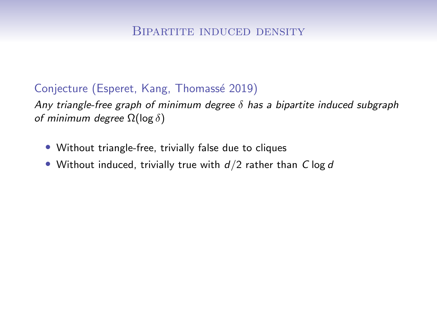- Without triangle-free, trivially false due to cliques
- Without induced, trivially true with  $d/2$  rather than C log d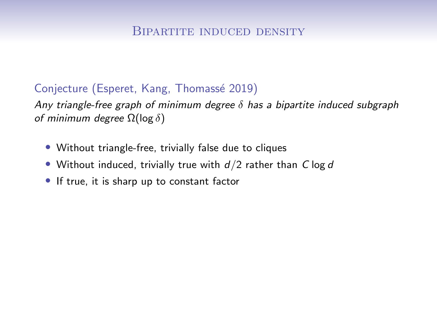- Without triangle-free, trivially false due to cliques
- Without induced, trivially true with  $d/2$  rather than C log d
- If true, it is sharp up to constant factor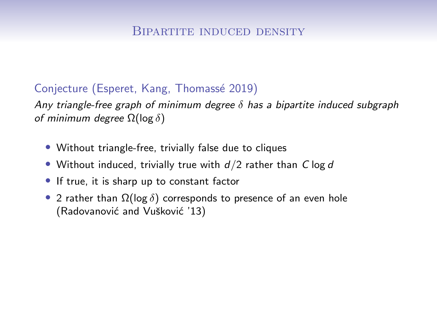- Without triangle-free, trivially false due to cliques
- Without induced, trivially true with  $d/2$  rather than C log d
- If true, it is sharp up to constant factor
- 2 rather than  $\Omega(\log \delta)$  corresponds to presence of an even hole (Radovanović and Vušković '13)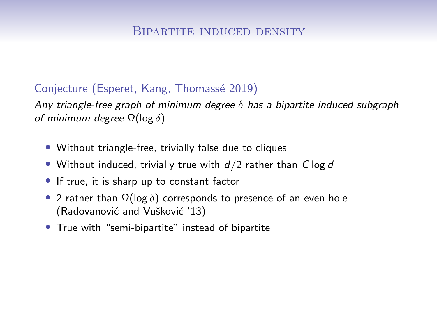- Without triangle-free, trivially false due to cliques
- Without induced, trivially true with  $d/2$  rather than C log d
- If true, it is sharp up to constant factor
- 2 rather than  $\Omega(\log \delta)$  corresponds to presence of an even hole (Radovanović and Vušković '13)
- True with "semi-bipartite" instead of bipartite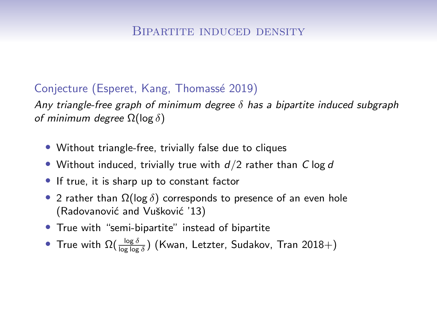- Without triangle-free, trivially false due to cliques
- Without induced, trivially true with  $d/2$  rather than C log d
- If true, it is sharp up to constant factor
- 2 rather than  $\Omega(\log \delta)$  corresponds to presence of an even hole (Radovanović and Vušković '13)
- True with "semi-bipartite" instead of bipartite
- $\bullet~$  True with  $\Omega(\frac{\log\delta}{\log\log\delta})$  (Kwan, Letzter, Sudakov, Tran 2018 $+$ )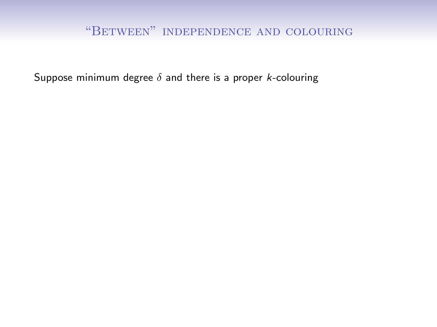#### "Between" independence and colouring

Suppose minimum degree  $\delta$  and there is a proper *k*-colouring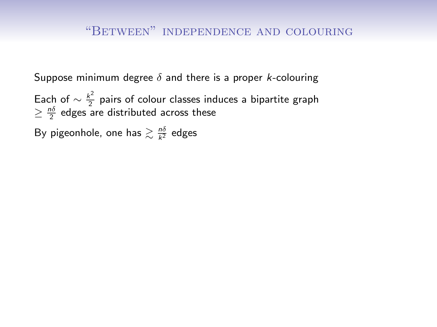Each of  $\sim \frac{k^2}{2}$  pairs of colour classes induces a bipartite graph  $\geq \frac{n\delta}{2}$  edges are distributed across these

By pigeonhole, one has  $\gtrsim \frac{n\delta}{k^2}$  edges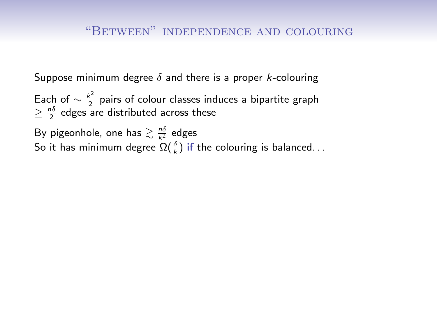Each of  $\sim \frac{k^2}{2}$  $\frac{\epsilon}{2}$  pairs of colour classes induces a bipartite graph  $\geq \frac{n\delta}{2}$  edges are distributed across these

By pigeonhole, one has  $\gtrsim \frac{n\delta}{k^2}$  edges So it has minimum degree  $\Omega(\frac{\delta}{k})$  if the colouring is balanced. . .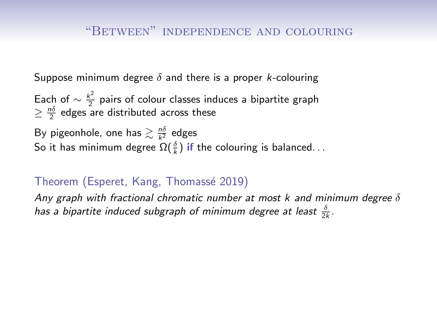Each of  $\sim \frac{k^2}{2}$  $\frac{\epsilon}{2}$  pairs of colour classes induces a bipartite graph  $\geq \frac{n\delta}{2}$  edges are distributed across these

By pigeonhole, one has  $\gtrsim \frac{n\delta}{k^2}$  edges So it has minimum degree  $\Omega(\frac{\delta}{k})$  if the colouring is balanced. . .

#### Theorem (Esperet, Kang, Thomass´e 2019)

Any graph with fractional chromatic number at most k and minimum degree  $\delta$ has a bipartite induced subgraph of minimum degree at least  $\frac{\delta}{2k}$ .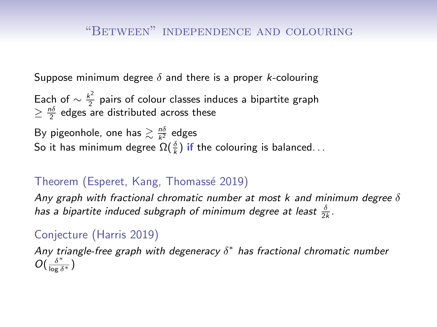Each of  $\sim \frac{k^2}{2}$  $\frac{\epsilon}{2}$  pairs of colour classes induces a bipartite graph  $\geq \frac{n\delta}{2}$  edges are distributed across these

By pigeonhole, one has  $\gtrsim \frac{n\delta}{k^2}$  edges So it has minimum degree  $\Omega(\frac{\delta}{k})$  if the colouring is balanced. . .

#### Theorem (Esperet, Kang, Thomass´e 2019)

Any graph with fractional chromatic number at most k and minimum degree  $\delta$ has a bipartite induced subgraph of minimum degree at least  $\frac{\delta}{2k}$ .

#### Conjecture (Harris 2019)

Any triangle-free graph with degeneracy  $\delta^*$  has fractional chromatic number  $O(\frac{\delta^*}{\log \delta^*})$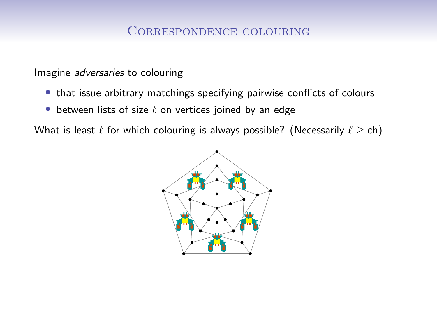Imagine adversaries to colouring

- that issue arbitrary matchings specifying pairwise conflicts of colours
- between lists of size  $\ell$  on vertices joined by an edge

What is least  $\ell$  for which colouring is always possible? (Necessarily  $\ell \geq ch$ )

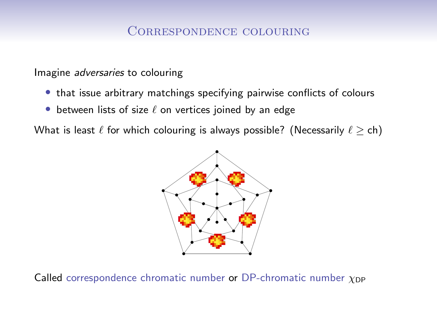Imagine adversaries to colouring

- that issue arbitrary matchings specifying pairwise conflicts of colours
- between lists of size  $\ell$  on vertices joined by an edge

What is least  $\ell$  for which colouring is always possible? (Necessarily  $\ell \geq ch$ )



Called correspondence chromatic number or DP-chromatic number  $\chi_{\text{DP}}$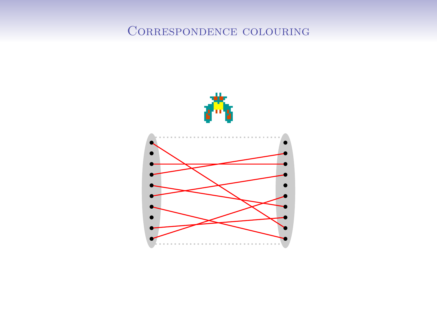#### Correspondence colouring

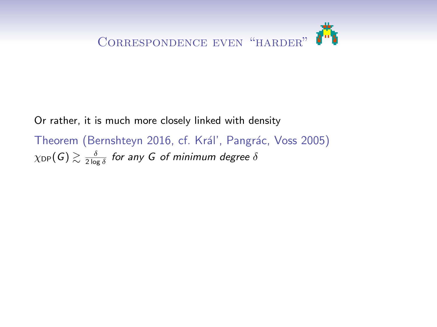

Or rather, it is much more closely linked with density Theorem (Bernshteyn 2016, cf. Král', Pangrác, Voss 2005)  $\chi_\mathsf{DP}(\mathsf{G}) \gtrsim \frac{\delta}{2\log \delta}$  for any  $\mathsf{G}$  of minimum degree  $\delta$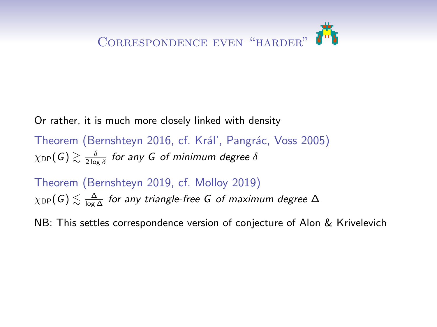

Or rather, it is much more closely linked with density

Theorem (Bernshteyn 2016, cf. Král', Pangrác, Voss 2005)  $\chi_\mathsf{DP}(\mathsf{G}) \gtrsim \frac{\delta}{2\log \delta}$  for any  $\mathsf{G}$  of minimum degree  $\delta$ 

Theorem (Bernshteyn 2019, cf. Molloy 2019)  $\chi_\mathsf{DP}(\mathsf{G}) \lesssim \frac{\Delta}{\log \Delta}$  for any triangle-free  $\mathsf G$  of maximum degree  $\Delta$ 

NB: This settles correspondence version of conjecture of Alon & Krivelevich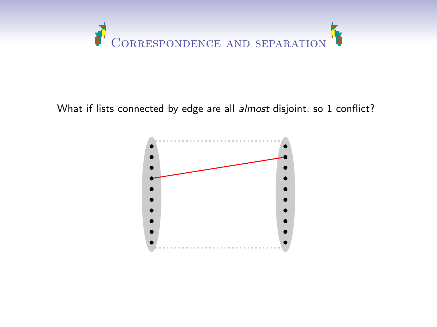

#### What if lists connected by edge are all almost disjoint, so 1 conflict?

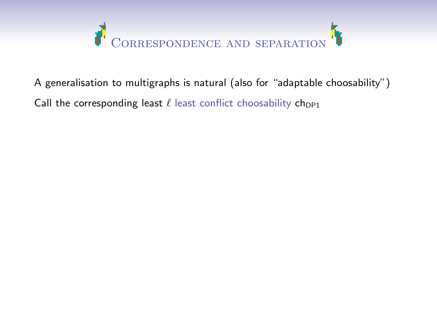

A generalisation to multigraphs is natural (also for "adaptable choosability") Call the corresponding least  $\ell$  least conflict choosability ch<sub>DP1</sub>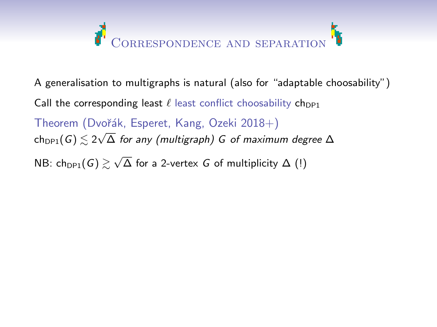

A generalisation to multigraphs is natural (also for "adaptable choosability") Call the corresponding least  $\ell$  least conflict choosability ch<sub>DP1</sub> Theorem (Dvořák, Esperet, Kang, Ozeki 2018+)  $\sum_{c \in \text{DPP1}}$  (*G*)  $\leq 2\sqrt{\Delta}$  for any (multigraph) *G* of maximum degree  $\Delta$ NB:  $\mathsf{ch}_{\mathsf{DP1}}(\mathsf{G}) \gtrsim \sqrt{\Delta}$  for a 2-vertex  $\mathsf G$  of multiplicity  $\Delta$   $(\mathsf I)$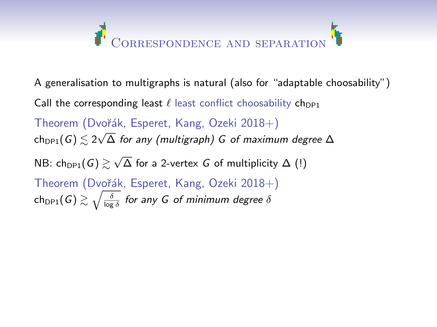

- A generalisation to multigraphs is natural (also for "adaptable choosability")
- Call the corresponding least  $\ell$  least conflict choosability ch<sub>DP1</sub>

Theorem (Dvořák, Esperet, Kang, Ozeki 2018+)  $\sum_{c \in \text{DPP1}}$  (*G*)  $\leq 2\sqrt{\Delta}$  for any (multigraph) *G* of maximum degree  $\Delta$ NB:  $\mathsf{ch}_{\mathsf{DP1}}(\mathsf{G}) \gtrsim \sqrt{\Delta}$  for a 2-vertex  $\mathsf G$  of multiplicity  $\Delta$   $(\mathsf I)$ Theorem (Dvořák, Esperet, Kang, Ozeki 2018+)  $\mathsf{ch}_{\mathsf{DP1}}(\mathsf{G}) \gtrsim \sqrt{\frac{\delta}{\log \delta}}$  for any  $\mathsf G$  of minimum degree  $\delta$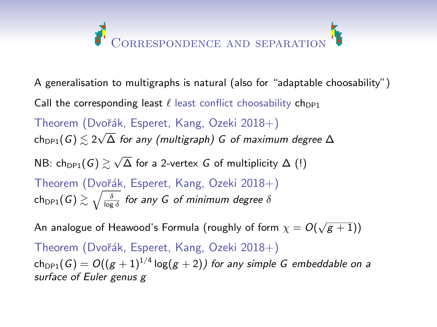# ORRESPONDENCE AND SEPARATION

- A generalisation to multigraphs is natural (also for "adaptable choosability")
- Call the corresponding least  $\ell$  least conflict choosability ch<sub>DP1</sub>

Theorem (Dvořák, Esperet, Kang, Ozeki 2018+)  $\sum_{c \in \text{DPP1}}$  (*G*)  $\leq 2\sqrt{\Delta}$  for any (multigraph) *G* of maximum degree  $\Delta$ 

- NB:  $\mathsf{ch}_{\mathsf{DP1}}(\mathsf{G}) \gtrsim \sqrt{\Delta}$  for a 2-vertex  $\mathsf G$  of multiplicity  $\Delta$   $(\mathsf I)$
- Theorem (Dvořák, Esperet, Kang, Ozeki 2018+)  $\mathsf{ch}_{\mathsf{DP1}}(\mathsf{G}) \gtrsim \sqrt{\frac{\delta}{\log \delta}}$  for any  $\mathsf G$  of minimum degree  $\delta$

An analogue of Heawood's Formula (roughly of form  $\chi=O(\sqrt{g+1}))$ Theorem (Dvořák, Esperet, Kang, Ozeki 2018+)  $\mathsf{ch}_{\mathsf{DP1}}(\mathsf{G}) = O((g+1)^{1/4}\log(g+2))$  for any simple  $\mathsf G$  embeddable on a surface of Euler genus g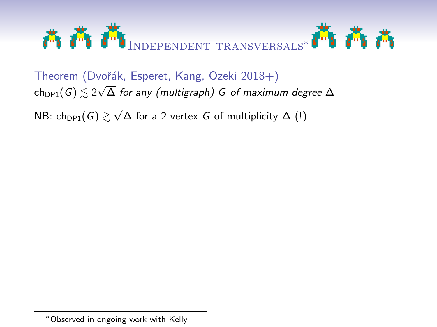

Theorem (Dvořák, Esperet, Kang, Ozeki 2018+)  $\text{ch}_{\text{DP1}}(G) \lesssim 2\sqrt{\Delta}$  for any (multigraph) G of maximum degree  $\Delta$ 

NB:  $\mathsf{ch}_{\mathsf{DP1}}(\mathsf{G}) \gtrsim \sqrt{\Delta}$  for a 2-vertex  $G$  of multiplicity  $\Delta$   $(\mathsf{l})$ 

<sup>∗</sup>Observed in ongoing work with Kelly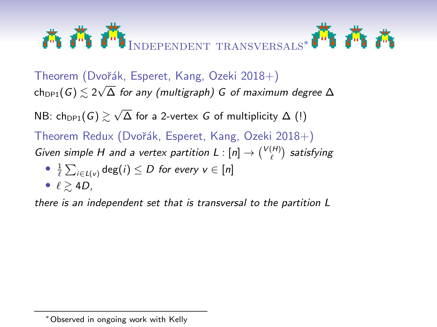

Theorem (Dvořák, Esperet, Kang, Ozeki 2018+)  $\text{ch}_{\text{DP1}}(G) \lesssim 2\sqrt{\Delta}$  for any (multigraph) G of maximum degree  $\Delta$ 

NB:  $\mathsf{ch}_{\mathsf{DP1}}(\mathsf{G}) \gtrsim \sqrt{\Delta}$  for a 2-vertex  $G$  of multiplicity  $\Delta$   $(\mathsf{l})$ 

Theorem Redux (Dvořák, Esperet, Kang, Ozeki 2018+) Given simple H and a vertex partition  $L: [n] \rightarrow \binom{V(H)}{\ell}$  satisfying

• 
$$
\frac{1}{\ell} \sum_{i \in L(v)} \deg(i) \leq D \text{ for every } v \in [n]
$$

• 
$$
\ell \gtrsim 4D
$$
,

there is an independent set that is transversal to the partition L

<sup>∗</sup>Observed in ongoing work with Kelly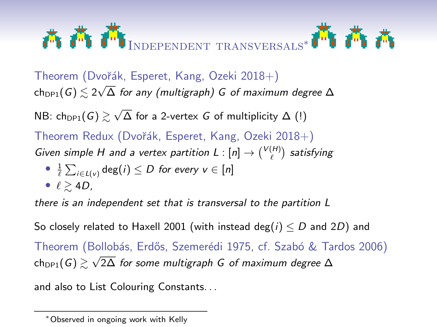

Theorem (Dvořák, Esperet, Kang, Ozeki 2018+)  $\text{ch}_{\text{DP1}}(G) \lesssim 2\sqrt{\Delta}$  for any (multigraph) G of maximum degree  $\Delta$ 

NB:  $\mathsf{ch}_{\mathsf{DP1}}(\mathsf{G}) \gtrsim \sqrt{\Delta}$  for a 2-vertex  $G$  of multiplicity  $\Delta$   $(\mathsf{l})$ Theorem Redux (Dvořák, Esperet, Kang, Ozeki 2018+) Given simple H and a vertex partition  $L: [n] \rightarrow \binom{V(H)}{\ell}$  satisfying

• 
$$
\frac{1}{\ell} \sum_{i \in L(v)} \deg(i) \leq D \text{ for every } v \in [n]
$$

• 
$$
\ell \gtrsim 4D
$$
,

there is an independent set that is transversal to the partition L

So closely related to Haxell 2001 (with instead deg( $i$ )  $\leq D$  and 2D) and Theorem (Bollobás, Erdős, Szemerédi 1975, cf. Szabó & Tardos 2006)

ch<sub>DP1</sub>(G)  $\gtrsim \sqrt{2\Delta}$  for some multigraph G of maximum degree  $\Delta$ 

and also to List Colouring Constants. . .

<sup>∗</sup>Observed in ongoing work with Kelly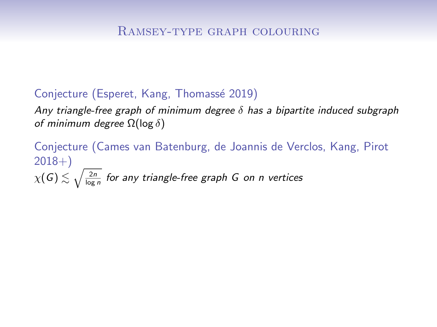Any triangle-free graph of minimum degree  $\delta$  has a bipartite induced subgraph of minimum degree  $\Omega(\log \delta)$ 

Conjecture (Cames van Batenburg, de Joannis de Verclos, Kang, Pirot  $2018+$  $\chi(\mathsf{G}) \lesssim \sqrt{ \frac{2n}{\log n}}$  for any triangle-free graph  $\mathsf G$  on n vertices